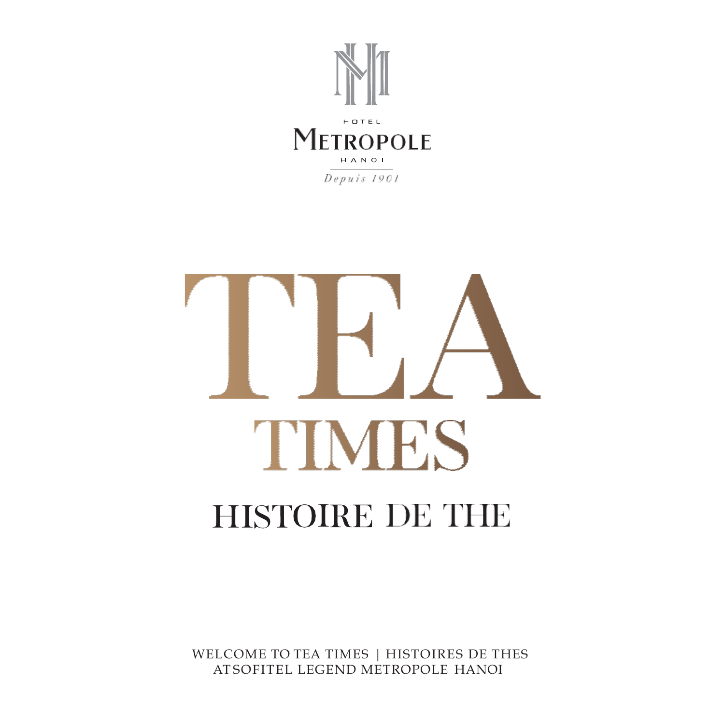



WELCOME TO TEA TIMES | HISTOIRES DE THES AT SOFITEL LEGEND METROPOLE HANOI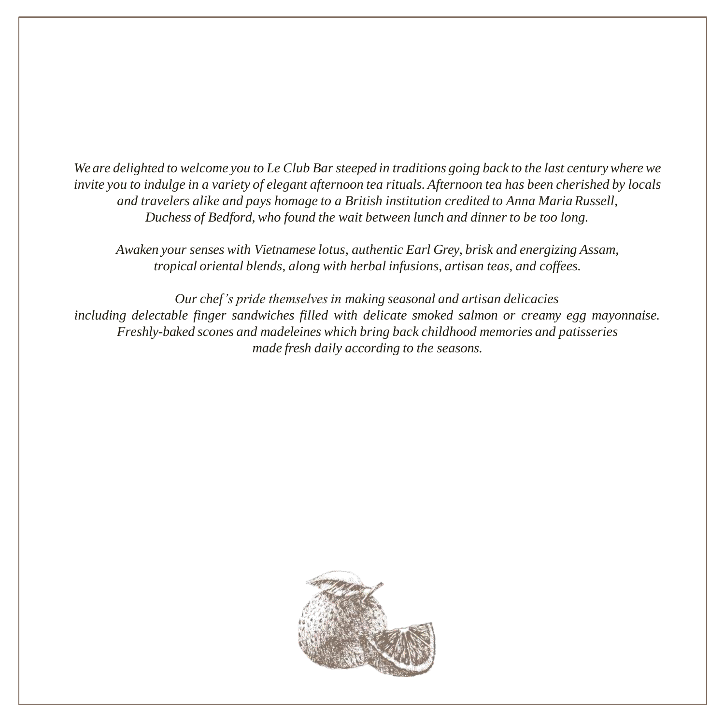We are delighted to welcome you to Le Club Bar steeped in traditions going back to the last century where we invite you to indulge in a variety of elegant afternoon tea rituals. Afternoon tea has been cherished by locals *and travelers alike and pays homage to a British institution credited to Anna MariaRussell, Duchess of Bedford, who found the wait between lunch and dinner to be too long.*

*Awaken your senses with Vietnamese lotus, authentic Earl Grey, brisk and energizing Assam, tropical oriental blends, along with herbal infusions, artisan teas, and coffees.*

*Our chef's pride themselves in making seasonal and artisan delicacies including delectable finger sandwiches filled with delicate smoked salmon or creamy egg mayonnaise. Freshly-baked scones and madeleines which bring back childhood memories and patisseries made fresh daily according to the seasons.*

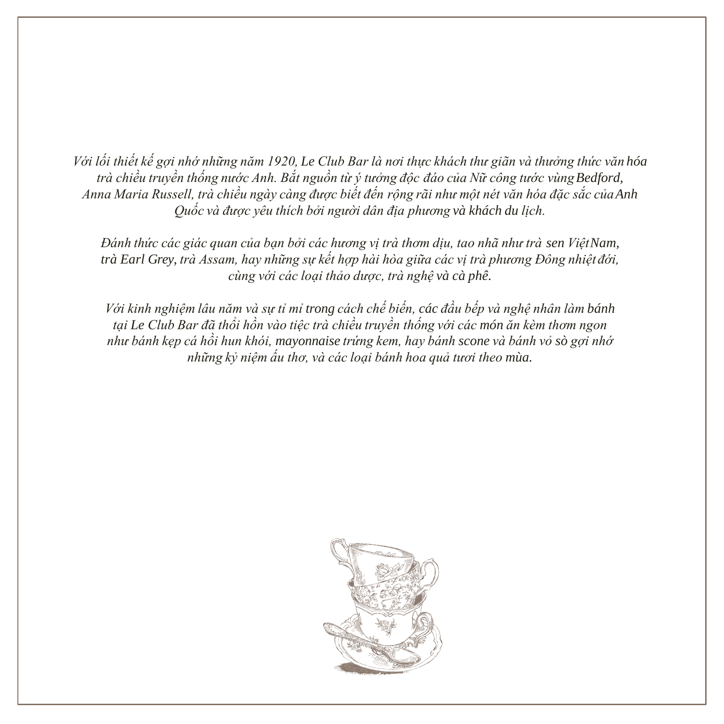*Với lối thiết kế gợi nhớ những năm 1920, Le Club Bar là nơi thực khách thư giãn và thưởng thức văn hóa trà chiều truyền thống nước Anh. Bắt nguồn từ ý tưởng độc đáo của Nữ công tước vùngBedford, Anna Maria Russell, trà chiều ngày càng được biết đến rộng rãi như một nét văn hóa đặc sắc củaAnh Quốc và được yêu thích bởi người dân địa phương và khách du lịch.*

*Đánh thức các giác quan của bạn bởi các hương vị trà thơm dịu, tao nhã như trà sen ViệtNam, trà Earl Grey, trà Assam, hay những sự kết hợp hài hòa giữa các vị trà phương Đông nhiệt đới, cùng với các loại thảo dược, trà nghệ và cà phê.*

*Với kinh nghiệm lâu năm và sự tỉ mỉ trong cách chế biến, các đầu bếp và nghệ nhân làm bánh tại Le Club Bar đã thổi hồn vào tiệc trà chiều truyền thống với các món ăn kèm thơm ngon như bánh kẹp cá hồi hun khói, mayonnaise trứng kem, hay bánh scone và bánh vỏ sò gợi nhớ những kỷ niệm ấu thơ, và các loại bánh hoa quả tươi theo mùa.*

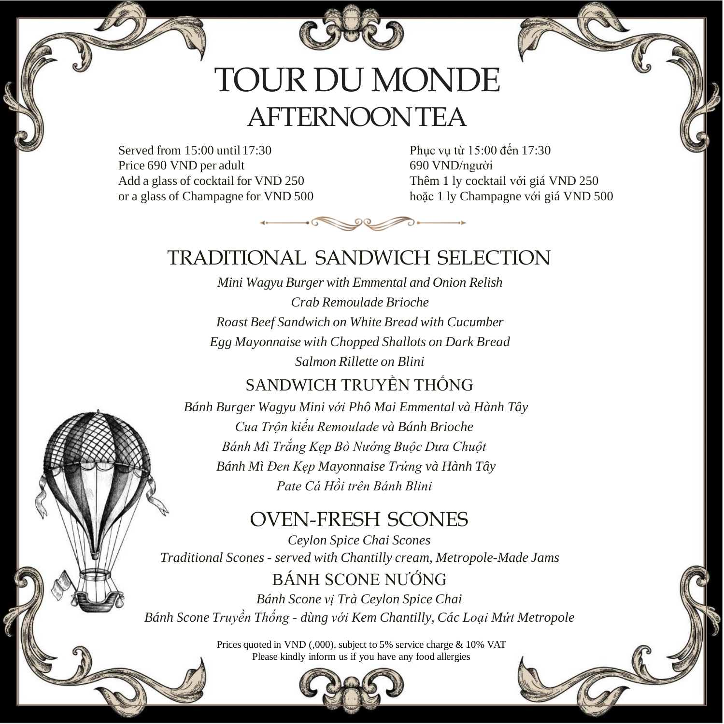

# TOUR DU MONDE AFTERNOONTEA

Served from  $15:00$  until  $17:30$ Price 690 VND per adult Add a glass of cocktail for VND 250 or a glass of Champagne for VND 500

Phục vụ từ 15:00 đến 17:30 690 VND/người Thêm 1 ly cocktail với giá VND 250 hoặc 1 ly Champagne với giá VND 500



#### TRADITIONAL SANDWICH SELECTION

*Mini Wagyu Burger with Emmental and Onion Relish Crab Remoulade Brioche Roast Beef Sandwich on White Bread with Cucumber Egg Mayonnaise with Chopped Shallots on Dark Bread Salmon Rillette on Blini* 

#### SANDWICH TRUYỀN THỐNG

*Bánh Burger Wagyu Mini với Phô Mai Emmental và Hành Tây Cua Trộn kiểu Remoulade và Bánh Brioche Bánh Mì Trắng Kẹp Bò Nướng Buộc Dưa Chuột Bánh Mì Đen Kẹp Mayonnaise Trứng và Hành Tây Pate Cá Hồi trên Bánh Blini*

#### OVEN-FRESH SCONES

*Ceylon Spice Chai Scones Traditional Scones - served with Chantilly cream, Metropole-Made Jams* 

BÁNH SCONE NƯỚNG *Bánh Scone vị Trà Ceylon Spice Chai Bánh Scone Truyền Thống - dùng với Kem Chantilly, Các Loại Mứt Metropole*

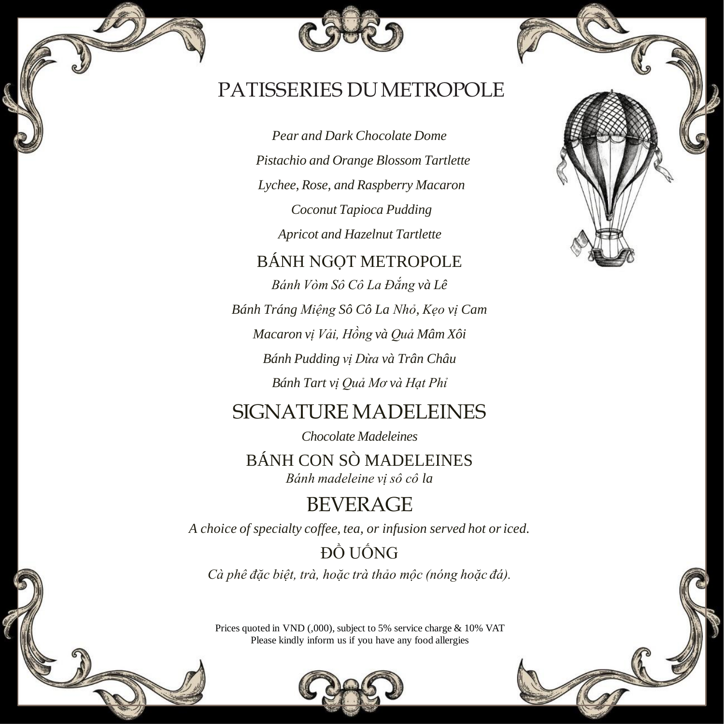#### PATISSERIES DUMETROPOLE

*Pear and Dark Chocolate Dome Pistachio and Orange Blossom Tartlette Lychee, Rose, and Raspberry Macaron Coconut Tapioca Pudding Apricot and Hazelnut Tartlette*

#### BÁNH NGỌT METROPOLE

*Bánh Vòm Sô Cô La Đắng và Lê Bánh Tráng Miệng Sô Cô La Nhỏ, Kẹo vị Cam Macaron vị Vải, Hồng và Quả Mâm Xôi Bánh Pudding vị Dừa và Trân Châu Bánh Tart vị Quả Mơ và Hạt Phỉ*

#### SIGNATURE MADELEINES

*Chocolate Madeleines*

BÁNH CON SÒ MADELEINES *Bánh madeleine vị sô cô la*

#### **BEVERAGE**

*A choice of specialty coffee, tea, or infusion served hot oriced.*

## ĐỒ UỐNG

*Cà phê đặc biệt, trà, hoặc trà thảo mộc (nóng hoặc đá).*



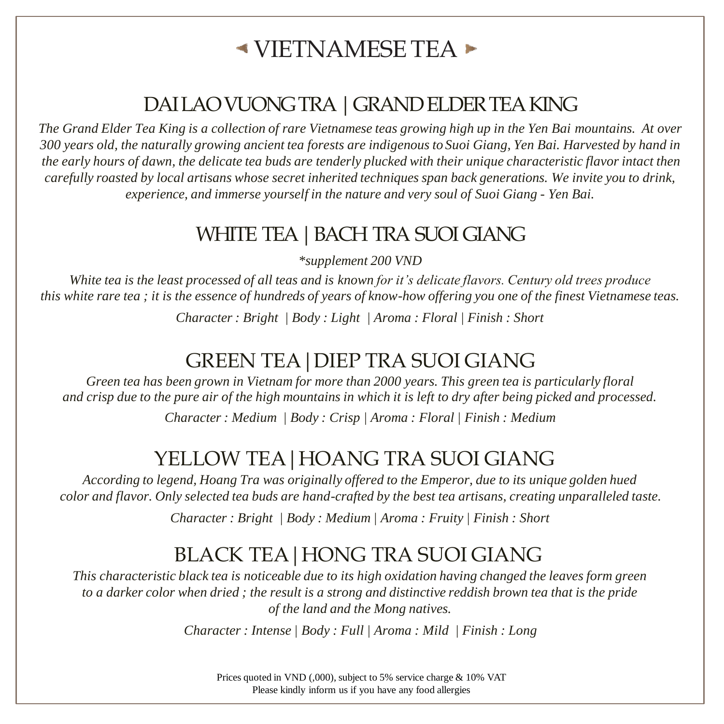## $\blacktriangle$  VIETNAMESE TEA  $\blacktriangleright$

### DAI LAO VUONG TRA | GRAND ELDER TEA KING

*The Grand Elder Tea King is a collection of rare Vietnamese teas growing high up in the Yen Bai mountains. At over 300 years old, the naturally growing ancient tea forests are indigenous to Suoi Giang, Yen Bai. Harvested by hand in the early hours of dawn, the delicate tea buds are tenderly plucked with their unique characteristic flavor intact then carefully roasted by local artisans whose secret inherited techniques span back generations. We invite you to drink, experience, and immerse yourself in the nature and very soul of Suoi Giang - Yen Bai.*

#### WHITE TEA | BACH TRA SUOI GIANG

*\*supplement 200 VND*

*White tea is the least processed of all teas and is known for it's delicate flavors. Century old trees produce this white rare tea ; it is the essence of hundreds of years of know-how offering you one of the finest Vietnamese teas.* 

*Character : Bright | Body : Light | Aroma : Floral | Finish : Short* 

#### GREEN TEA|DIEP TRA SUOI GIANG

*Green tea has been grown in Vietnam for more than 2000 years. This green tea is particularly floral and crisp due to the pure air of the high mountains in which it is left to dry after being picked and processed.* 

*Character : Medium | Body : Crisp | Aroma : Floral | Finish : Medium* 

#### YELLOW TEA | HOANG TRA SUOI GIANG

*According to legend, Hoang Tra was originally offered to the Emperor, due to its unique golden hued color and flavor. Only selected tea buds are hand-crafted by the best tea artisans, creating unparalleled taste.*

*Character : Bright | Body : Medium | Aroma : Fruity | Finish : Short* 

### BLACK TEA|HONG TRA SUOI GIANG

*This characteristic black tea is noticeable due to its high oxidation having changed the leaves form green to a darker color when dried ; the result is a strong and distinctive reddish brown tea that is the pride of the land and the Mong natives.* 

*Character : Intense | Body : Full | Aroma : Mild | Finish : Long*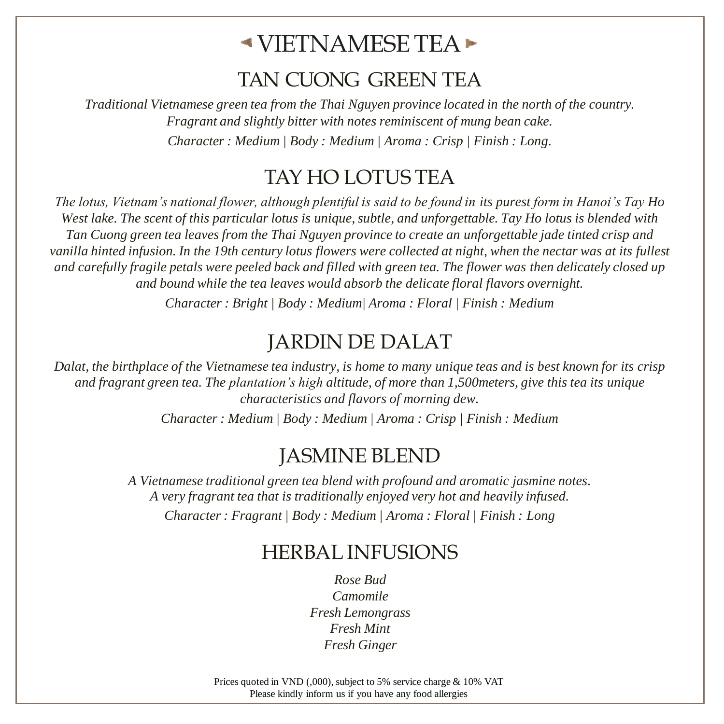## $\blacktriangle$ VIETNAMESE TEA $\blacktriangleright$

#### TAN CUONG GREEN TEA

*Traditional Vietnamese green tea from the Thai Nguyen province located in the north of the country. Fragrant and slightly bitter with notes reminiscent of mung bean cake. Character : Medium | Body : Medium | Aroma : Crisp | Finish : Long.*

#### TAY HO LOTUS TEA

*The lotus, Vietnam's national flower, although plentiful is said to be found in its purest form in Hanoi's Tay Ho West lake. The scent of this particular lotus is unique, subtle, and unforgettable. Tay Ho lotus is blended with Tan Cuong green tea leaves from the Thai Nguyen province to create an unforgettable jade tinted crisp and vanilla hinted infusion. In the 19th century lotus flowers were collected at night, when the nectar was at its fullest and carefully fragile petals were peeled back and filled with green tea. The flower was then delicately closed up and bound while the tea leaves would absorb the delicate floral flavors overnight. Character : Bright | Body : Medium| Aroma : Floral | Finish : Medium*

#### JARDIN DE DALAT

*Dalat, the birthplace of the Vietnamese tea industry, is home to many unique teas and is best known for its crisp and fragrant green tea. The plantation's high altitude, of more than 1,500meters, give this tea its unique characteristics and flavors of morning dew.*

*Character : Medium | Body : Medium | Aroma : Crisp | Finish : Medium*

#### JASMINE BLEND

*A Vietnamese traditional green tea blend with profound and aromatic jasmine notes. A very fragrant tea that is traditionally enjoyed very hot and heavily infused. Character : Fragrant | Body : Medium | Aroma : Floral | Finish : Long*

#### HERBAL INFUSIONS

*Rose Bud Camomile Fresh Lemongrass Fresh Mint Fresh Ginger*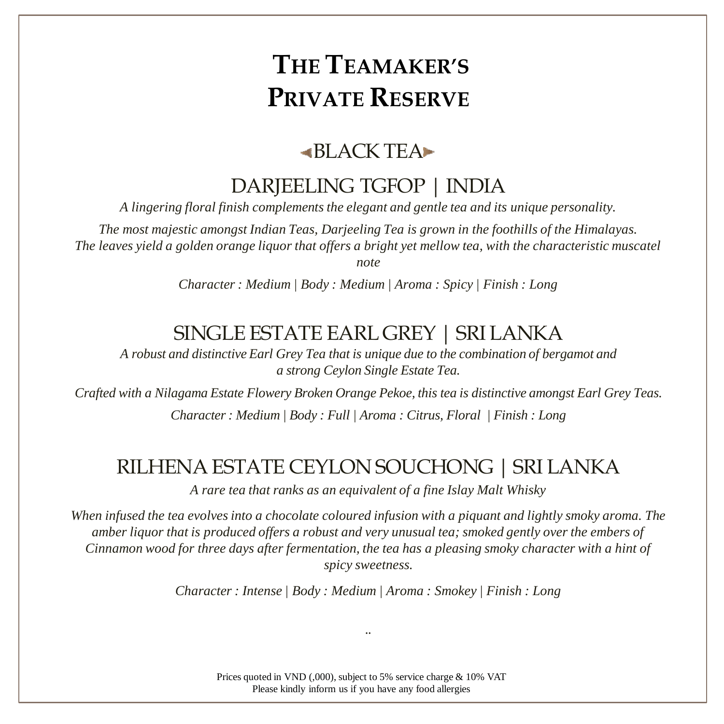#### $-BI$  ACK TEA $\blacktriangleright$

#### DARJEELING TGFOP | INDIA

*A lingering floral finish complements the elegant and gentle tea and its unique personality.*

*The most majestic amongst Indian Teas, Darjeeling Tea is grown in the foothills of the Himalayas. The leaves yield a golden orange liquor that offers a bright yet mellow tea, with the characteristic muscatel* 

*note*

*Character : Medium | Body : Medium | Aroma : Spicy | Finish : Long* 

#### SINGLE ESTATE EARL GREY | SRI LANKA

*A robust and distinctive Earl Grey Tea that is unique due to the combination of bergamot and a strong Ceylon Single Estate Tea.*

*Crafted with a Nilagama Estate Flowery Broken Orange Pekoe, this tea is distinctive amongst Earl Grey Teas. Character : Medium | Body : Full | Aroma : Citrus, Floral | Finish : Long* 

#### RILHENA ESTATE CEYLON SOUCHONG | SRI LANKA

*A rare tea that ranks as an equivalent of a fine Islay Malt Whisky*

*When infused the tea evolves into a chocolate coloured infusion with a piquant and lightly smoky aroma. The amber liquor that is produced offers a robust and very unusual tea; smoked gently over the embers of Cinnamon wood for three days after fermentation, the tea has a pleasing smoky character with a hint of spicy sweetness.* 

*Character : Intense | Body : Medium | Aroma : Smokey | Finish : Long* 

*..*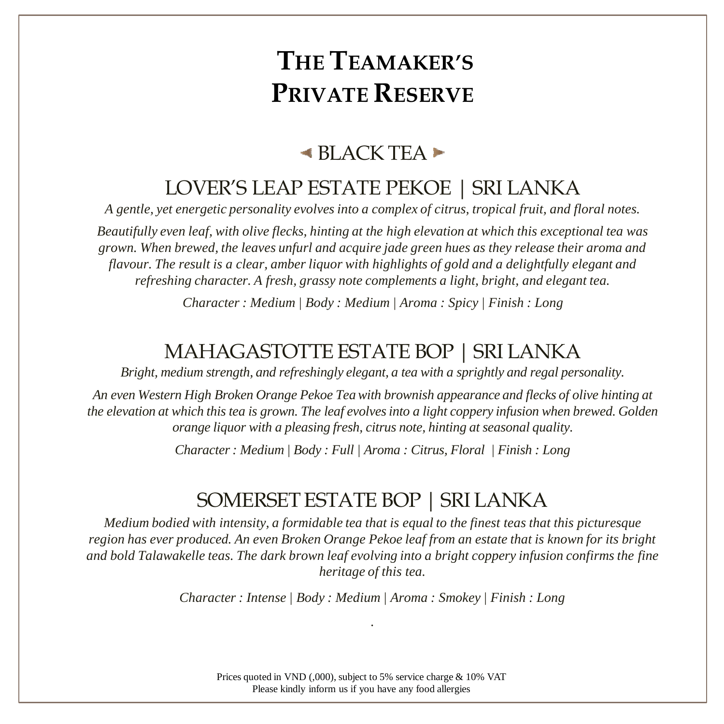#### $\blacktriangle$  BLACK TEA $\blacktriangleright$

#### LOVER'S LEAP ESTATE PEKOE | SRI LANKA

*A gentle, yet energetic personality evolves into a complex of citrus, tropical fruit, and floral notes.* 

*Beautifully even leaf, with olive flecks, hinting at the high elevation at which this exceptional tea was grown. When brewed, the leaves unfurl and acquire jade green hues as they release their aroma and flavour. The result is a clear, amber liquor with highlights of gold and a delightfully elegant and refreshing character. A fresh, grassy note complements a light, bright, and elegant tea.*

*Character : Medium | Body : Medium | Aroma : Spicy | Finish : Long* 

#### MAHAGASTOTTE ESTATE BOP | SRI LANKA

*Bright, medium strength, and refreshingly elegant, a tea with a sprightly and regal personality.* 

*An even Western High Broken Orange Pekoe Tea with brownish appearance and flecks of olive hinting at the elevation at which this tea is grown. The leaf evolves into a light coppery infusion when brewed. Golden orange liquor with a pleasing fresh, citrus note, hinting at seasonal quality.*

*Character : Medium | Body : Full | Aroma : Citrus, Floral | Finish : Long* 

#### SOMERSET ESTATE BOP | SRI LANKA

*Medium bodied with intensity, a formidable tea that is equal to the finest teas that this picturesque region has ever produced. An even Broken Orange Pekoe leaf from an estate that is known for its bright and bold Talawakelle teas. The dark brown leaf evolving into a bright coppery infusion confirms the fine heritage of this tea.*

> *Character : Intense | Body : Medium | Aroma : Smokey | Finish : Long .*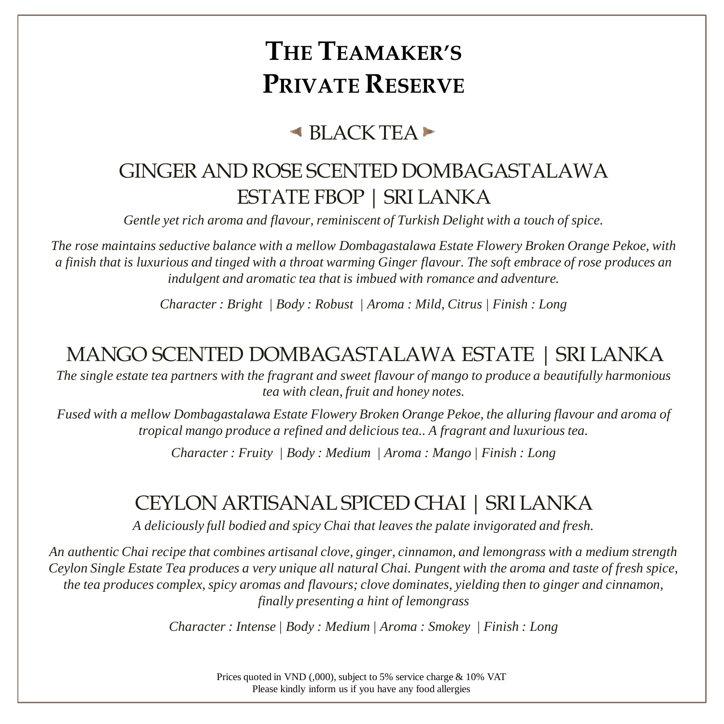### $\blacktriangle$  BLACK TEA $\blacktriangleright$

## GINGER AND ROSE SCENTED DOMBAGASTALAWA ESTATE FBOP | SRI LANKA

*Gentle yet rich aroma and flavour, reminiscent of Turkish Delight with a touch of spice.*

*The rose maintains seductive balance with a mellow Dombagastalawa Estate Flowery Broken Orange Pekoe, with a finish that is luxurious and tinged with a throat warming Ginger flavour. The soft embrace of rose produces an indulgent and aromatic tea that is imbued with romance and adventure.*

*Character : Bright | Body : Robust | Aroma : Mild, Citrus | Finish : Long* 

## MANGO SCENTED DOMBAGASTALAWA ESTATE | SRI LANKA

*The single estate tea partners with the fragrant and sweet flavour of mango to produce a beautifully harmonious tea with clean, fruit and honey notes.* 

*Fused with a mellow Dombagastalawa Estate Flowery Broken Orange Pekoe, the alluring flavour and aroma of tropical mango produce a refined and delicious tea.. A fragrant and luxurious tea.*

*Character : Fruity | Body : Medium | Aroma : Mango | Finish : Long* 

### CEYLON ARTISANAL SPICED CHAI | SRI LANKA

*A deliciously full bodied and spicy Chai that leaves the palate invigorated and fresh.*

*An authentic Chai recipe that combines artisanal clove, ginger, cinnamon, and lemongrass with a medium strength Ceylon Single Estate Tea produces a very unique all natural Chai. Pungent with the aroma and taste of fresh spice, the tea produces complex, spicy aromas and flavours; clove dominates, yielding then to ginger and cinnamon, finally presenting a hint of lemongrass*

*Character : Intense | Body : Medium | Aroma : Smokey | Finish : Long*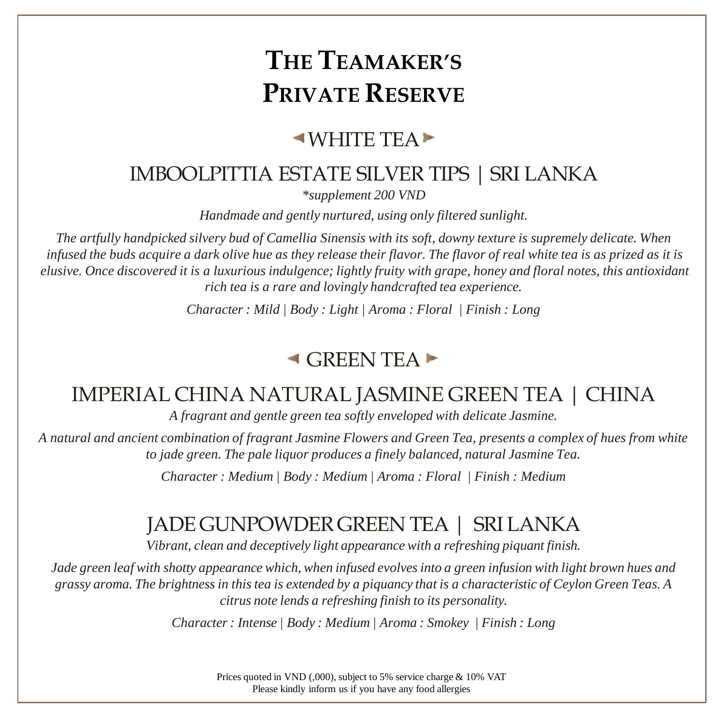#### $\blacktriangleleft$ WHITE TEA $\blacktriangleright$

#### IMBOOLPITTIA ESTATE SILVER TIPS | SRI LANKA

*\*supplement 200 VND*

*Handmade and gently nurtured, using only filtered sunlight.*

*The artfully handpicked silvery bud of Camellia Sinensis with its soft, downy texture is supremely delicate. When infused the buds acquire a dark olive hue as they release their flavor. The flavor of real white tea is as prized as it is elusive. Once discovered it is a luxurious indulgence; lightly fruity with grape, honey and floral notes, this antioxidant rich tea is a rare and lovingly handcrafted tea experience.*

*Character : Mild | Body : Light | Aroma : Floral | Finish : Long* 

#### $\triangleleft$  GREEN TEA

#### IMPERIAL CHINA NATURAL JASMINE GREEN TEA | CHINA

*A fragrant and gentle green tea softly enveloped with delicate Jasmine.*

*A natural and ancient combination of fragrant Jasmine Flowers and Green Tea, presents a complex of hues from white to jade green. The pale liquor produces a finely balanced, natural Jasmine Tea.* 

*Character : Medium | Body : Medium | Aroma : Floral | Finish : Medium* 

#### JADE GUNPOWDER GREEN TEA | SRI LANKA

*Vibrant, clean and deceptively light appearance with a refreshing piquant finish.*

*Jade green leaf with shotty appearance which, when infused evolves into a green infusion with light brown hues and grassy aroma. The brightness in this tea is extended by a piquancy that is a characteristic of Ceylon Green Teas. A citrus note lends a refreshing finish to its personality.*

*Character : Intense | Body : Medium | Aroma : Smokey | Finish : Long*